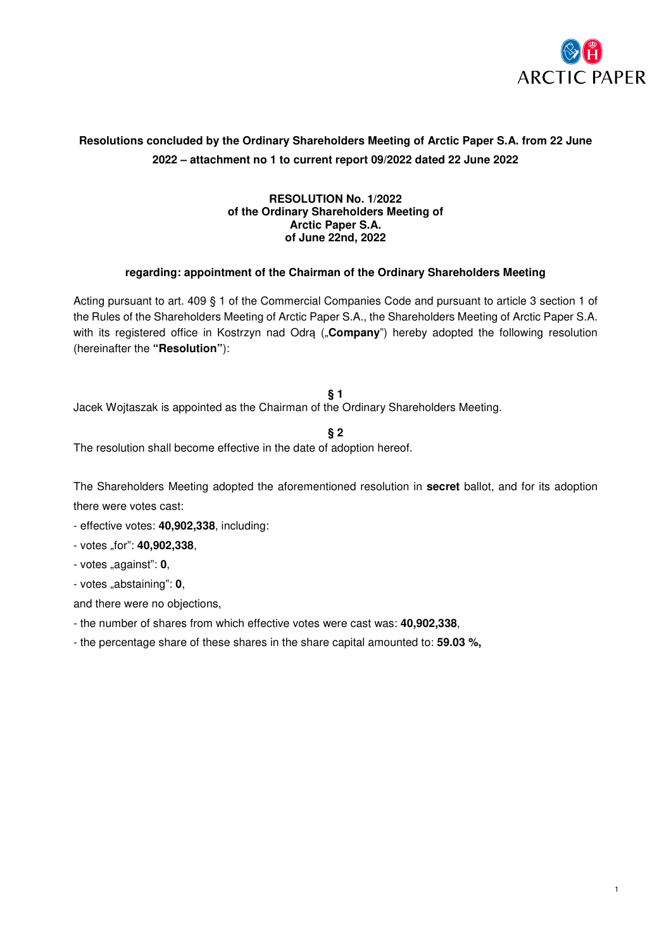

# **Resolutions concluded by the Ordinary Shareholders Meeting of Arctic Paper S.A. from 22 June 2022 – attachment no 1 to current report 09/2022 dated 22 June 2022**

### **RESOLUTION No. 1/2022 of the Ordinary Shareholders Meeting of Arctic Paper S.A. of June 22nd, 2022**

# **regarding: appointment of the Chairman of the Ordinary Shareholders Meeting**

Acting pursuant to art. 409 § 1 of the Commercial Companies Code and pursuant to article 3 section 1 of the Rules of the Shareholders Meeting of Arctic Paper S.A., the Shareholders Meeting of Arctic Paper S.A. with its registered office in Kostrzyn nad Odrą ("**Company**") hereby adopted the following resolution (hereinafter the **"Resolution"**):

**§ 1** 

Jacek Wojtaszak is appointed as the Chairman of the Ordinary Shareholders Meeting.

**§ 2** 

The resolution shall become effective in the date of adoption hereof.

The Shareholders Meeting adopted the aforementioned resolution in **secret** ballot, and for its adoption there were votes cast:

- effective votes: **40,902,338**, including:
- votes "for": **40,902,338**,

- votes "against": **0**,

- votes "abstaining": **0**,

- the number of shares from which effective votes were cast was: **40,902,338**,
- the percentage share of these shares in the share capital amounted to: **59.03 %,**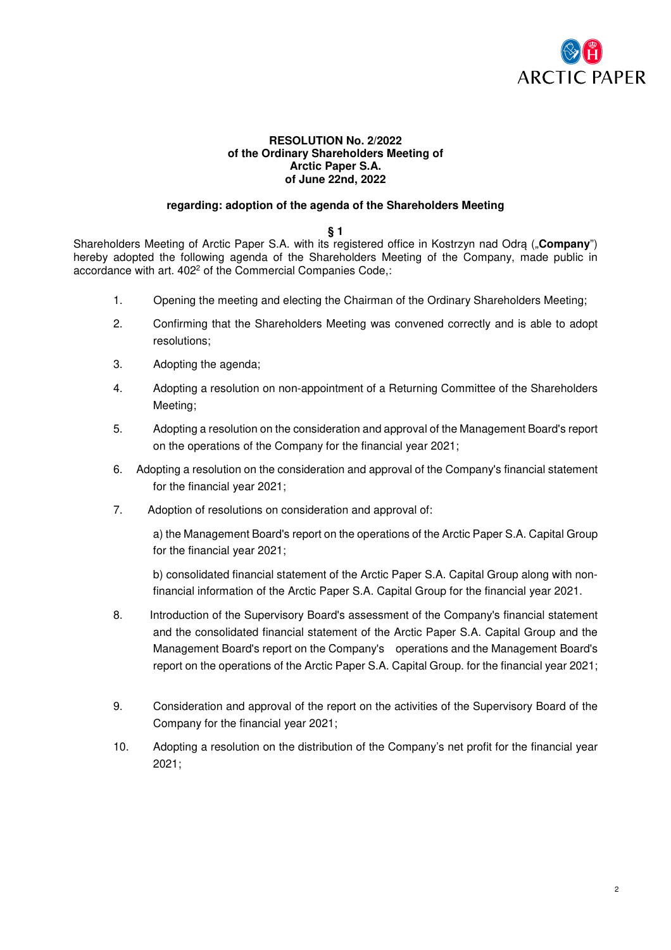

### **RESOLUTION No. 2/2022 of the Ordinary Shareholders Meeting of Arctic Paper S.A. of June 22nd, 2022**

### **regarding: adoption of the agenda of the Shareholders Meeting**

#### **§ 1**

Shareholders Meeting of Arctic Paper S.A. with its registered office in Kostrzyn nad Odrą ("**Company**") hereby adopted the following agenda of the Shareholders Meeting of the Company, made public in accordance with art. 402<sup>2</sup> of the Commercial Companies Code,:

- 1. Opening the meeting and electing the Chairman of the Ordinary Shareholders Meeting;
- 2. Confirming that the Shareholders Meeting was convened correctly and is able to adopt resolutions;
- 3. Adopting the agenda;
- 4. Adopting a resolution on non-appointment of a Returning Committee of the Shareholders Meeting;
- 5. Adopting a resolution on the consideration and approval of the Management Board's report on the operations of the Company for the financial year 2021;
- 6. Adopting a resolution on the consideration and approval of the Company's financial statement for the financial year 2021;
- 7. Adoption of resolutions on consideration and approval of:

a) the Management Board's report on the operations of the Arctic Paper S.A. Capital Group for the financial year 2021;

b) consolidated financial statement of the Arctic Paper S.A. Capital Group along with nonfinancial information of the Arctic Paper S.A. Capital Group for the financial year 2021.

- 8. Introduction of the Supervisory Board's assessment of the Company's financial statement and the consolidated financial statement of the Arctic Paper S.A. Capital Group and the Management Board's report on the Company's operations and the Management Board's report on the operations of the Arctic Paper S.A. Capital Group. for the financial year 2021;
- 9. Consideration and approval of the report on the activities of the Supervisory Board of the Company for the financial year 2021;
- 10. Adopting a resolution on the distribution of the Company's net profit for the financial year 2021;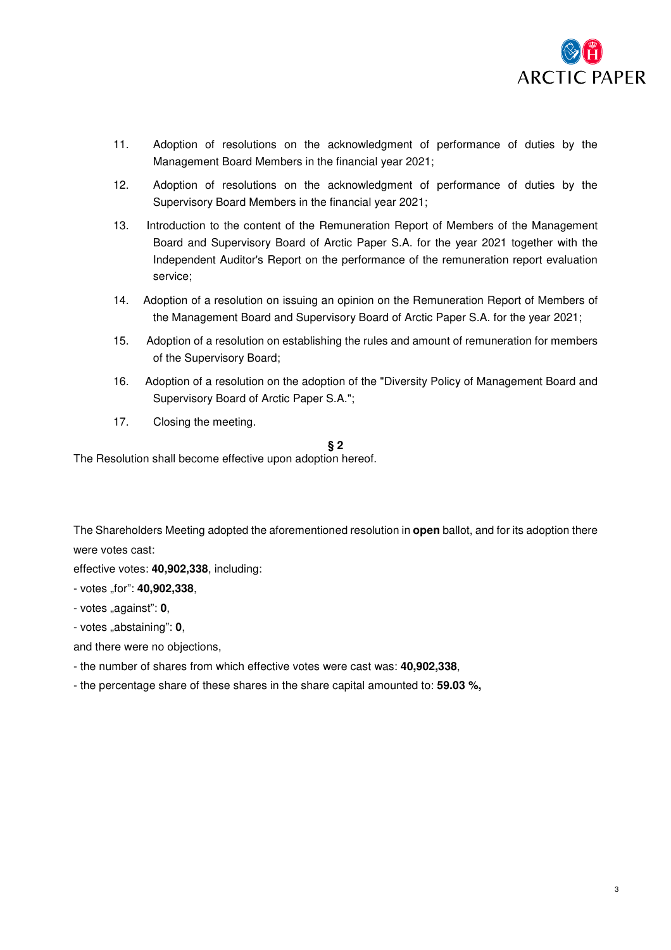

- 11. Adoption of resolutions on the acknowledgment of performance of duties by the Management Board Members in the financial year 2021;
- 12. Adoption of resolutions on the acknowledgment of performance of duties by the Supervisory Board Members in the financial year 2021;
- 13. Introduction to the content of the Remuneration Report of Members of the Management Board and Supervisory Board of Arctic Paper S.A. for the year 2021 together with the Independent Auditor's Report on the performance of the remuneration report evaluation service;
- 14. Adoption of a resolution on issuing an opinion on the Remuneration Report of Members of the Management Board and Supervisory Board of Arctic Paper S.A. for the year 2021;
- 15. Adoption of a resolution on establishing the rules and amount of remuneration for members of the Supervisory Board;
- 16. Adoption of a resolution on the adoption of the "Diversity Policy of Management Board and Supervisory Board of Arctic Paper S.A.";
- 17. Closing the meeting.

### **§ 2**

The Resolution shall become effective upon adoption hereof.

The Shareholders Meeting adopted the aforementioned resolution in **open** ballot, and for its adoption there were votes cast:

effective votes: **40,902,338**, including:

- votes "for": **40,902,338**,
- votes "against": **0**,
- votes "abstaining": **0**,

- the number of shares from which effective votes were cast was: **40,902,338**,
- the percentage share of these shares in the share capital amounted to: **59.03 %,**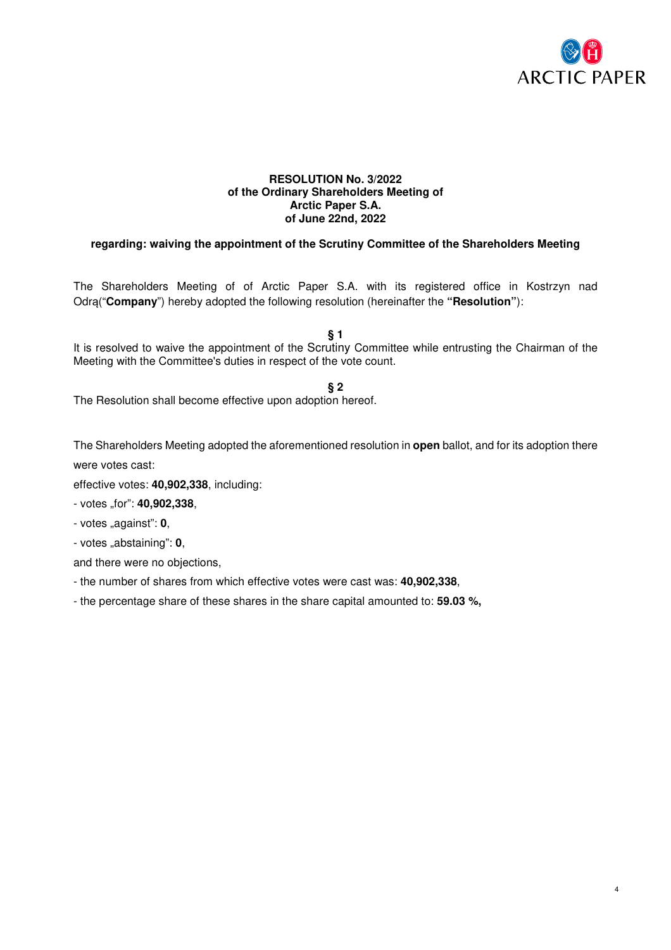

### **RESOLUTION No. 3/2022 of the Ordinary Shareholders Meeting of Arctic Paper S.A. of June 22nd, 2022**

# **regarding: waiving the appointment of the Scrutiny Committee of the Shareholders Meeting**

The Shareholders Meeting of of Arctic Paper S.A. with its registered office in Kostrzyn nad Odrą("**Company**") hereby adopted the following resolution (hereinafter the **"Resolution"**):

**§ 1** 

It is resolved to waive the appointment of the Scrutiny Committee while entrusting the Chairman of the Meeting with the Committee's duties in respect of the vote count.

**§ 2** 

The Resolution shall become effective upon adoption hereof.

The Shareholders Meeting adopted the aforementioned resolution in **open** ballot, and for its adoption there were votes cast:

effective votes: **40,902,338**, including:

- votes "for": **40,902,338**,

- votes "against": **0**,

- votes "abstaining": **0**,

and there were no objections,

- the number of shares from which effective votes were cast was: **40,902,338**,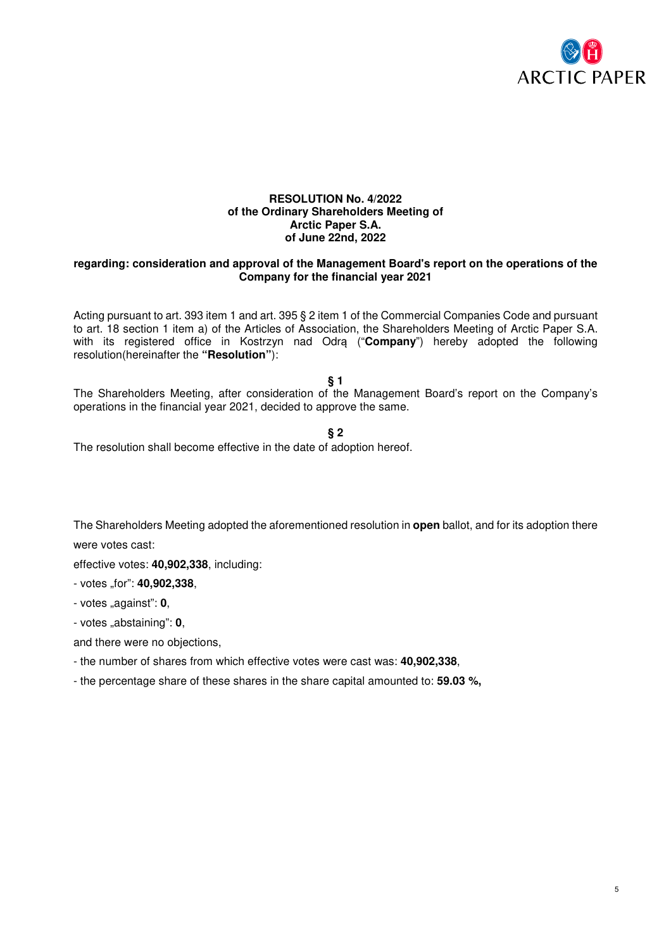

#### **RESOLUTION No. 4/2022 of the Ordinary Shareholders Meeting of Arctic Paper S.A. of June 22nd, 2022**

### **regarding: consideration and approval of the Management Board's report on the operations of the Company for the financial year 2021**

Acting pursuant to art. 393 item 1 and art. 395 § 2 item 1 of the Commercial Companies Code and pursuant to art. 18 section 1 item a) of the Articles of Association, the Shareholders Meeting of Arctic Paper S.A. with its registered office in Kostrzyn nad Odrą ("**Company**") hereby adopted the following resolution(hereinafter the **"Resolution"**):

**§ 1** 

The Shareholders Meeting, after consideration of the Management Board's report on the Company's operations in the financial year 2021, decided to approve the same.

**§ 2** 

The resolution shall become effective in the date of adoption hereof.

The Shareholders Meeting adopted the aforementioned resolution in **open** ballot, and for its adoption there

were votes cast:

effective votes: **40,902,338**, including:

- votes "for": **40,902,338**,

- votes "against": **0**,

- votes "abstaining": **0**,

and there were no objections,

- the number of shares from which effective votes were cast was: **40,902,338**,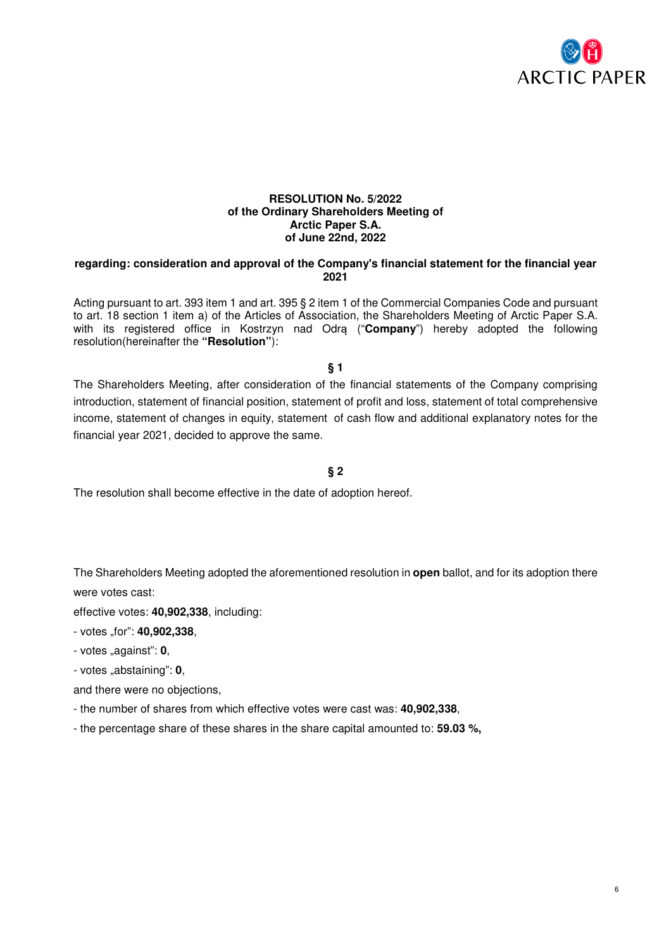

#### **RESOLUTION No. 5/2022 of the Ordinary Shareholders Meeting of Arctic Paper S.A. of June 22nd, 2022**

### **regarding: consideration and approval of the Company's financial statement for the financial year 2021**

Acting pursuant to art. 393 item 1 and art. 395 § 2 item 1 of the Commercial Companies Code and pursuant to art. 18 section 1 item a) of the Articles of Association, the Shareholders Meeting of Arctic Paper S.A. with its registered office in Kostrzyn nad Odra ("**Company**") hereby adopted the following resolution(hereinafter the **"Resolution"**):

**§ 1** 

The Shareholders Meeting, after consideration of the financial statements of the Company comprising introduction, statement of financial position, statement of profit and loss, statement of total comprehensive income, statement of changes in equity, statement of cash flow and additional explanatory notes for the financial year 2021, decided to approve the same.

### **§ 2**

The resolution shall become effective in the date of adoption hereof.

The Shareholders Meeting adopted the aforementioned resolution in **open** ballot, and for its adoption there were votes cast:

effective votes: **40,902,338**, including:

- votes "for": **40,902,338**,
- votes "against": **0**,
- votes "abstaining": **0**,
- and there were no objections,
- the number of shares from which effective votes were cast was: **40,902,338**,
- the percentage share of these shares in the share capital amounted to: **59.03 %,**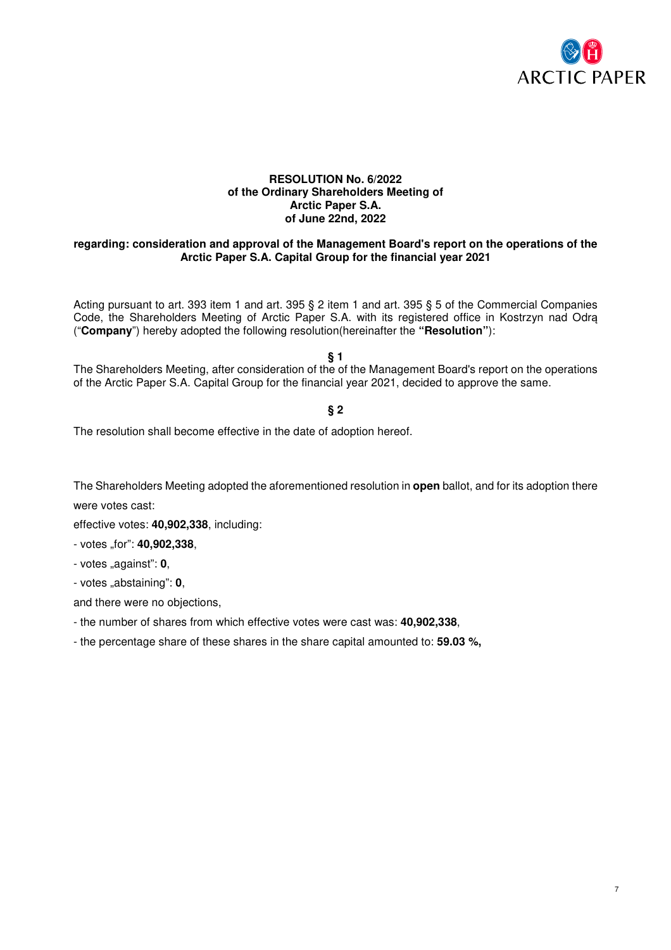

### **RESOLUTION No. 6/2022 of the Ordinary Shareholders Meeting of Arctic Paper S.A. of June 22nd, 2022**

### **regarding: consideration and approval of the Management Board's report on the operations of the Arctic Paper S.A. Capital Group for the financial year 2021**

Acting pursuant to art. 393 item 1 and art. 395 § 2 item 1 and art. 395 § 5 of the Commercial Companies Code, the Shareholders Meeting of Arctic Paper S.A. with its registered office in Kostrzyn nad Odrą ("**Company**") hereby adopted the following resolution(hereinafter the **"Resolution"**):

**§ 1** 

The Shareholders Meeting, after consideration of the of the Management Board's report on the operations of the Arctic Paper S.A. Capital Group for the financial year 2021, decided to approve the same.

### **§ 2**

The resolution shall become effective in the date of adoption hereof.

The Shareholders Meeting adopted the aforementioned resolution in **open** ballot, and for its adoption there

were votes cast:

effective votes: **40,902,338**, including:

- votes "for": **40,902,338**,

- votes "against": **0**,

- votes "abstaining": **0**,

and there were no objections,

- the number of shares from which effective votes were cast was: **40,902,338**,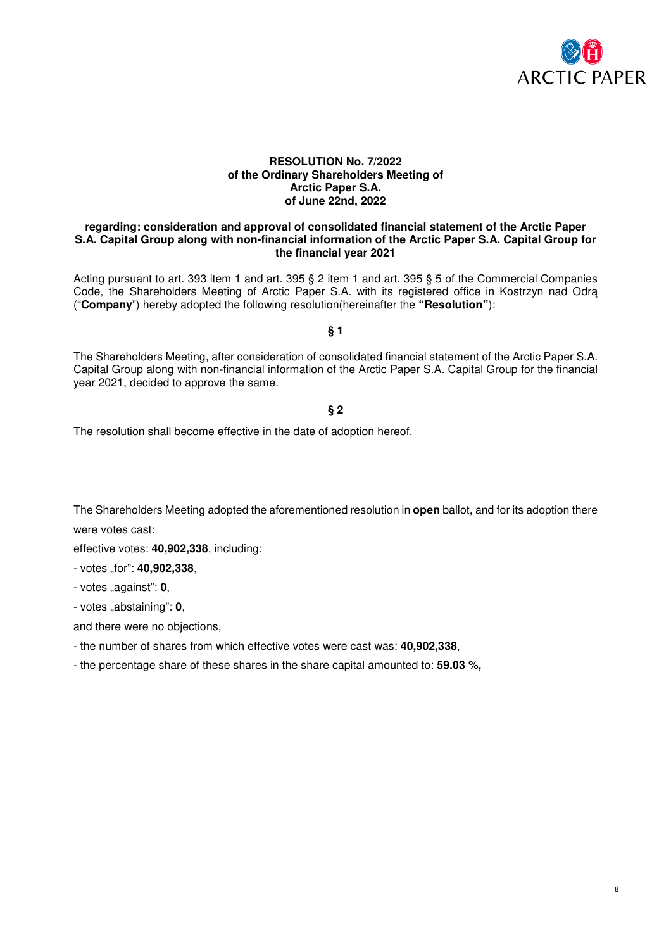

### **RESOLUTION No. 7/2022 of the Ordinary Shareholders Meeting of Arctic Paper S.A. of June 22nd, 2022**

#### **regarding: consideration and approval of consolidated financial statement of the Arctic Paper S.A. Capital Group along with non-financial information of the Arctic Paper S.A. Capital Group for the financial year 2021**

Acting pursuant to art. 393 item 1 and art. 395 § 2 item 1 and art. 395 § 5 of the Commercial Companies Code, the Shareholders Meeting of Arctic Paper S.A. with its registered office in Kostrzyn nad Odrą ("**Company**") hereby adopted the following resolution(hereinafter the **"Resolution"**):

### **§ 1**

The Shareholders Meeting, after consideration of consolidated financial statement of the Arctic Paper S.A. Capital Group along with non-financial information of the Arctic Paper S.A. Capital Group for the financial year 2021, decided to approve the same.

### **§ 2**

The resolution shall become effective in the date of adoption hereof.

The Shareholders Meeting adopted the aforementioned resolution in **open** ballot, and for its adoption there were votes cast:

effective votes: **40,902,338**, including:

- votes "for": **40,902,338**,

- votes "against": **0**,

- votes "abstaining": **0**,

and there were no objections,

- the number of shares from which effective votes were cast was: **40,902,338**,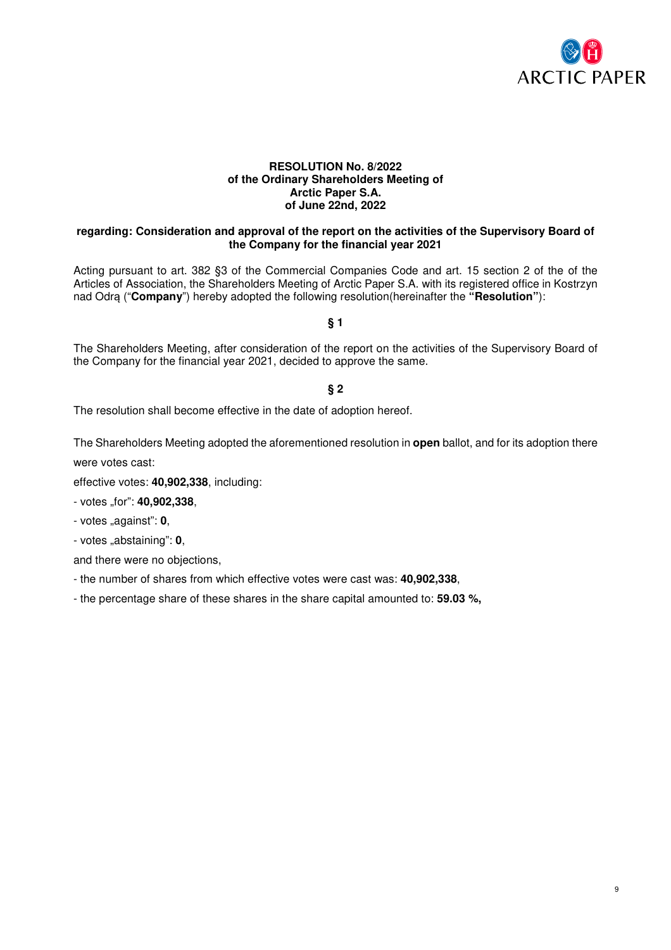

### **RESOLUTION No. 8/2022 of the Ordinary Shareholders Meeting of Arctic Paper S.A. of June 22nd, 2022**

### **regarding: Consideration and approval of the report on the activities of the Supervisory Board of the Company for the financial year 2021**

Acting pursuant to art. 382 §3 of the Commercial Companies Code and art. 15 section 2 of the of the Articles of Association, the Shareholders Meeting of Arctic Paper S.A. with its registered office in Kostrzyn nad Odrą ("**Company**") hereby adopted the following resolution(hereinafter the **"Resolution"**):

### **§ 1**

The Shareholders Meeting, after consideration of the report on the activities of the Supervisory Board of the Company for the financial year 2021, decided to approve the same.

### **§ 2**

The resolution shall become effective in the date of adoption hereof.

The Shareholders Meeting adopted the aforementioned resolution in **open** ballot, and for its adoption there

were votes cast:

effective votes: **40,902,338**, including:

- votes "for": **40,902,338**,

- votes "against": **0**,

- votes "abstaining": **0**,

and there were no objections,

- the number of shares from which effective votes were cast was: **40,902,338**,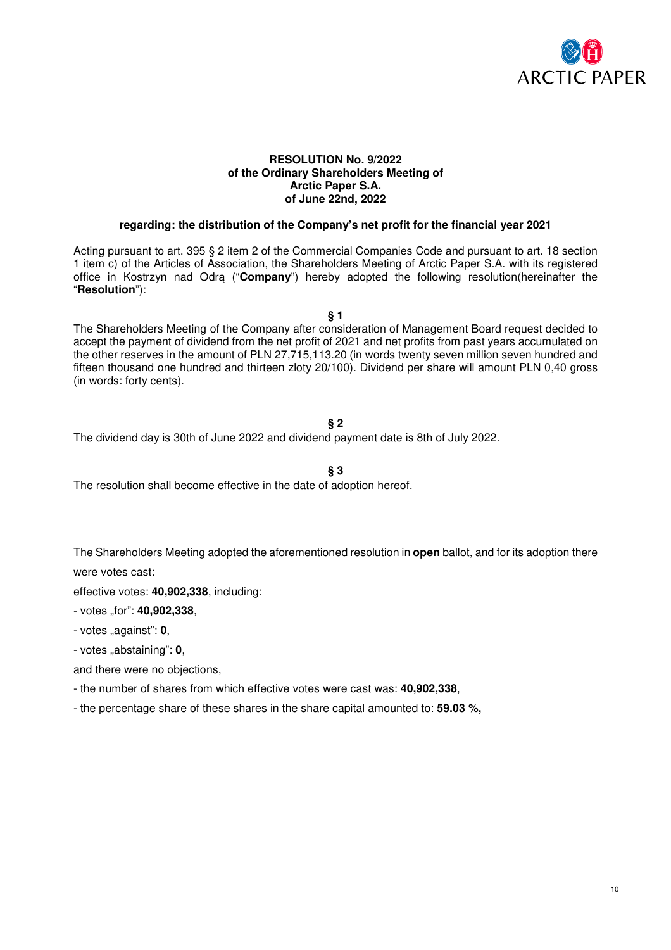

### **RESOLUTION No. 9/2022 of the Ordinary Shareholders Meeting of Arctic Paper S.A. of June 22nd, 2022**

### **regarding: the distribution of the Company's net profit for the financial year 2021**

Acting pursuant to art. 395 § 2 item 2 of the Commercial Companies Code and pursuant to art. 18 section 1 item c) of the Articles of Association, the Shareholders Meeting of Arctic Paper S.A. with its registered office in Kostrzyn nad Odrą ("**Company**") hereby adopted the following resolution(hereinafter the "**Resolution**"):

**§ 1** 

The Shareholders Meeting of the Company after consideration of Management Board request decided to accept the payment of dividend from the net profit of 2021 and net profits from past years accumulated on the other reserves in the amount of PLN 27,715,113.20 (in words twenty seven million seven hundred and fifteen thousand one hundred and thirteen zloty 20/100). Dividend per share will amount PLN 0,40 gross (in words: forty cents).

### **§ 2**

The dividend day is 30th of June 2022 and dividend payment date is 8th of July 2022.

**§ 3** 

The resolution shall become effective in the date of adoption hereof.

The Shareholders Meeting adopted the aforementioned resolution in **open** ballot, and for its adoption there were votes cast:

effective votes: **40,902,338**, including:

- votes "for": **40,902,338**,

- votes "against": **0**,

- votes "abstaining": **0**,

and there were no objections,

- the number of shares from which effective votes were cast was: **40,902,338**,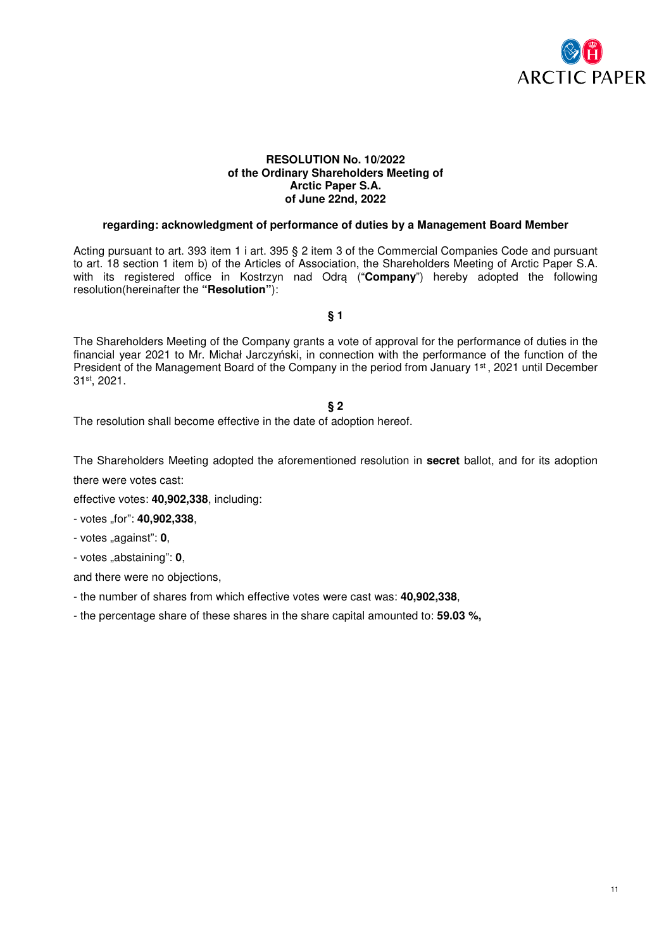

#### **RESOLUTION No. 10/2022 of the Ordinary Shareholders Meeting of Arctic Paper S.A. of June 22nd, 2022**

### **regarding: acknowledgment of performance of duties by a Management Board Member**

Acting pursuant to art. 393 item 1 i art. 395 § 2 item 3 of the Commercial Companies Code and pursuant to art. 18 section 1 item b) of the Articles of Association, the Shareholders Meeting of Arctic Paper S.A. with its registered office in Kostrzyn nad Odrą ("**Company**") hereby adopted the following resolution(hereinafter the **"Resolution"**):

**§ 1** 

The Shareholders Meeting of the Company grants a vote of approval for the performance of duties in the financial year 2021 to Mr. Michał Jarczyński, in connection with the performance of the function of the President of the Management Board of the Company in the period from January 1<sup>st</sup>, 2021 until December 31st, 2021.

#### **§ 2**

The resolution shall become effective in the date of adoption hereof.

The Shareholders Meeting adopted the aforementioned resolution in **secret** ballot, and for its adoption there were votes cast:

effective votes: **40,902,338**, including:

- votes "for": **40,902,338**,

- votes "against": **0**,

- votes "abstaining": **0**,

and there were no objections,

- the number of shares from which effective votes were cast was: **40,902,338**,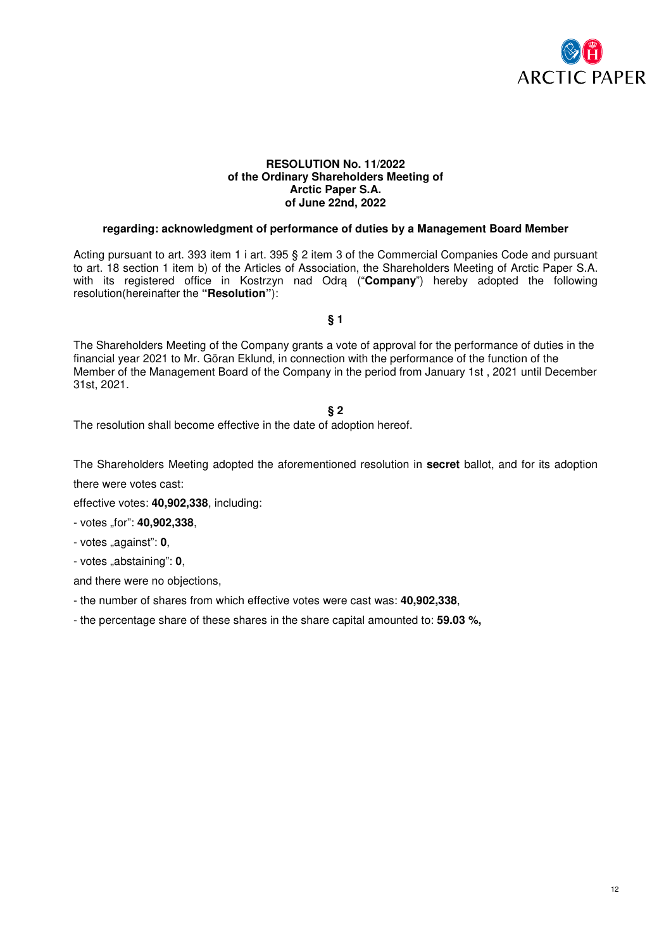

### **RESOLUTION No. 11/2022 of the Ordinary Shareholders Meeting of Arctic Paper S.A. of June 22nd, 2022**

### **regarding: acknowledgment of performance of duties by a Management Board Member**

Acting pursuant to art. 393 item 1 i art. 395 § 2 item 3 of the Commercial Companies Code and pursuant to art. 18 section 1 item b) of the Articles of Association, the Shareholders Meeting of Arctic Paper S.A. with its registered office in Kostrzyn nad Odrą ("**Company**") hereby adopted the following resolution(hereinafter the **"Resolution"**):

**§ 1** 

The Shareholders Meeting of the Company grants a vote of approval for the performance of duties in the financial year 2021 to Mr. Göran Eklund, in connection with the performance of the function of the Member of the Management Board of the Company in the period from January 1st , 2021 until December 31st, 2021.

#### **§ 2**

The resolution shall become effective in the date of adoption hereof.

The Shareholders Meeting adopted the aforementioned resolution in **secret** ballot, and for its adoption

there were votes cast:

effective votes: **40,902,338**, including:

- votes "for": **40,902,338**,

- votes "against": **0**,

- votes "abstaining": **0**,

- the number of shares from which effective votes were cast was: **40,902,338**,
- the percentage share of these shares in the share capital amounted to: **59.03 %,**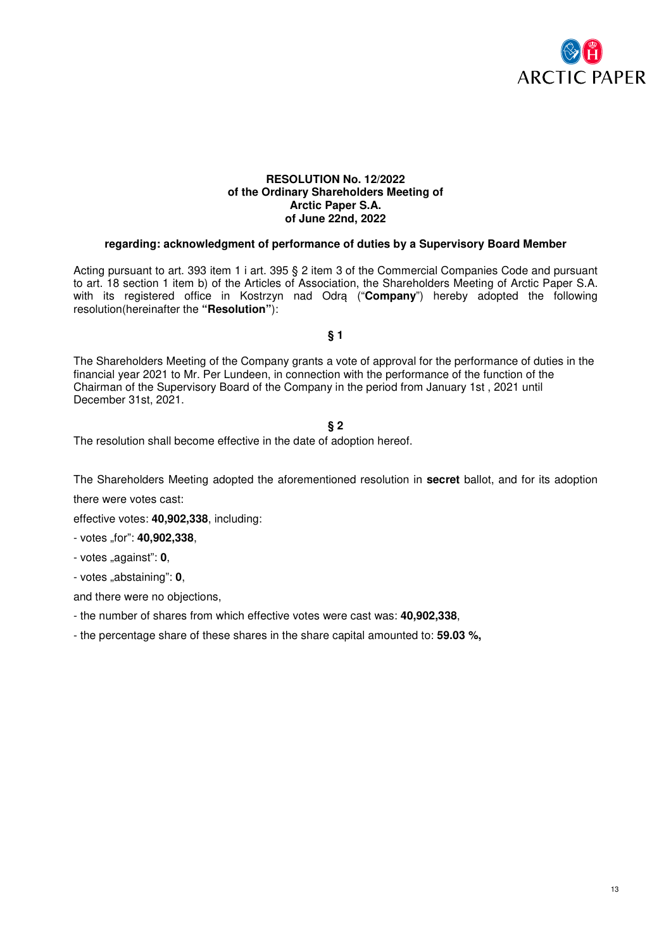

### **RESOLUTION No. 12/2022 of the Ordinary Shareholders Meeting of Arctic Paper S.A. of June 22nd, 2022**

### **regarding: acknowledgment of performance of duties by a Supervisory Board Member**

Acting pursuant to art. 393 item 1 i art. 395 § 2 item 3 of the Commercial Companies Code and pursuant to art. 18 section 1 item b) of the Articles of Association, the Shareholders Meeting of Arctic Paper S.A. with its registered office in Kostrzyn nad Odrą ("**Company**") hereby adopted the following resolution(hereinafter the **"Resolution"**):

**§ 1** 

The Shareholders Meeting of the Company grants a vote of approval for the performance of duties in the financial year 2021 to Mr. Per Lundeen, in connection with the performance of the function of the Chairman of the Supervisory Board of the Company in the period from January 1st , 2021 until December 31st, 2021.

#### **§ 2**

The resolution shall become effective in the date of adoption hereof.

The Shareholders Meeting adopted the aforementioned resolution in **secret** ballot, and for its adoption

there were votes cast:

effective votes: **40,902,338**, including:

- votes "for": **40,902,338**,

- votes "against": **0**,

- votes "abstaining": **0**,

and there were no objections,

- the number of shares from which effective votes were cast was: **40,902,338**,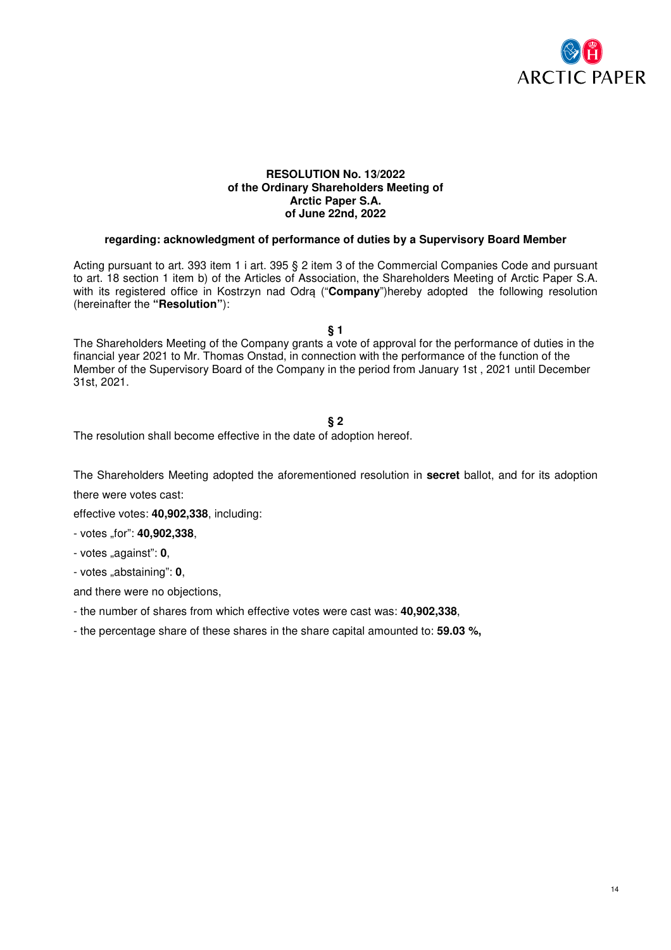

#### **RESOLUTION No. 13/2022 of the Ordinary Shareholders Meeting of Arctic Paper S.A. of June 22nd, 2022**

#### **regarding: acknowledgment of performance of duties by a Supervisory Board Member**

Acting pursuant to art. 393 item 1 i art. 395 § 2 item 3 of the Commercial Companies Code and pursuant to art. 18 section 1 item b) of the Articles of Association, the Shareholders Meeting of Arctic Paper S.A. with its registered office in Kostrzyn nad Odrą ("**Company**")hereby adopted the following resolution (hereinafter the **"Resolution"**):

**§ 1** 

The Shareholders Meeting of the Company grants a vote of approval for the performance of duties in the financial year 2021 to Mr. Thomas Onstad, in connection with the performance of the function of the Member of the Supervisory Board of the Company in the period from January 1st , 2021 until December 31st, 2021.

### **§ 2**

The resolution shall become effective in the date of adoption hereof.

The Shareholders Meeting adopted the aforementioned resolution in **secret** ballot, and for its adoption

there were votes cast:

effective votes: **40,902,338**, including:

- votes "for": **40,902,338**,

- votes "against": **0**,

- votes "abstaining": **0**,

and there were no objections,

- the number of shares from which effective votes were cast was: **40,902,338**,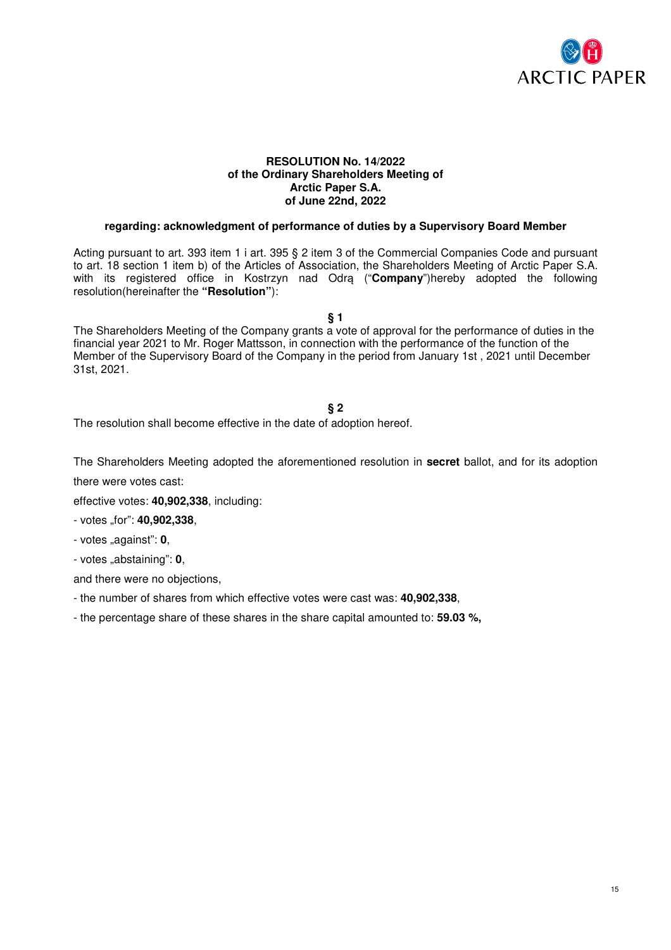

### **RESOLUTION No. 14/2022 of the Ordinary Shareholders Meeting of Arctic Paper S.A. of June 22nd, 2022**

### **regarding: acknowledgment of performance of duties by a Supervisory Board Member**

Acting pursuant to art. 393 item 1 i art. 395 § 2 item 3 of the Commercial Companies Code and pursuant to art. 18 section 1 item b) of the Articles of Association, the Shareholders Meeting of Arctic Paper S.A. with its registered office in Kostrzyn nad Odrą ("**Company**")hereby adopted the following resolution(hereinafter the **"Resolution"**):

**§ 1** 

The Shareholders Meeting of the Company grants a vote of approval for the performance of duties in the financial year 2021 to Mr. Roger Mattsson, in connection with the performance of the function of the Member of the Supervisory Board of the Company in the period from January 1st , 2021 until December 31st, 2021.

### **§ 2**

The resolution shall become effective in the date of adoption hereof.

The Shareholders Meeting adopted the aforementioned resolution in **secret** ballot, and for its adoption there were votes cast:

effective votes: **40,902,338**, including:

- votes "for": **40,902,338**,

- votes "against": **0**,

- votes "abstaining": **0**,

- the number of shares from which effective votes were cast was: **40,902,338**,
- the percentage share of these shares in the share capital amounted to: **59.03 %,**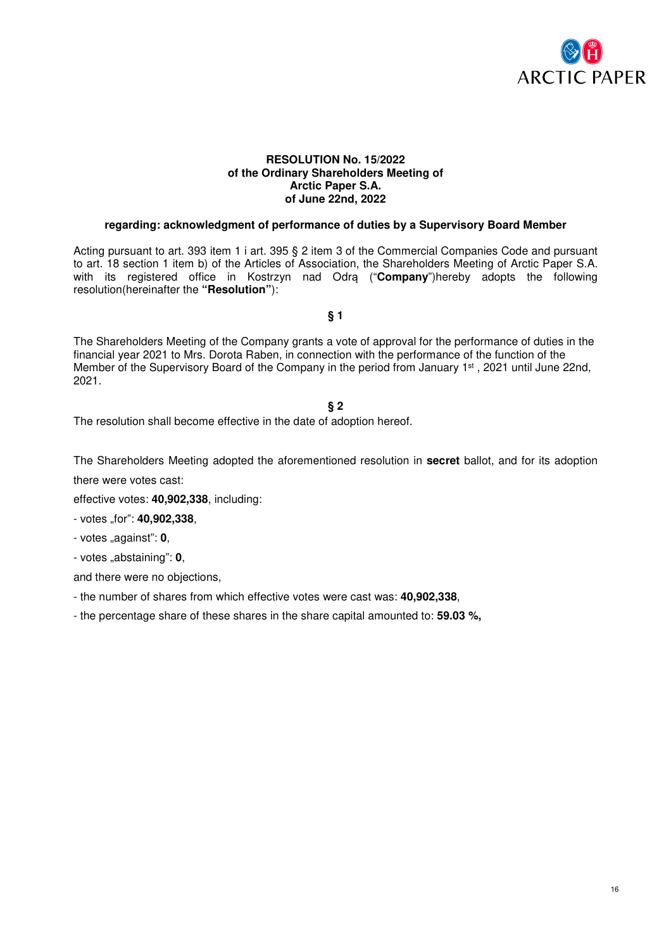

#### **RESOLUTION No. 15/2022 of the Ordinary Shareholders Meeting of Arctic Paper S.A. of June 22nd, 2022**

### **regarding: acknowledgment of performance of duties by a Supervisory Board Member**

Acting pursuant to art. 393 item 1 i art. 395 § 2 item 3 of the Commercial Companies Code and pursuant to art. 18 section 1 item b) of the Articles of Association, the Shareholders Meeting of Arctic Paper S.A. with its registered office in Kostrzyn nad Odrą ("**Company**")hereby adopts the following resolution(hereinafter the **"Resolution"**):

**§ 1** 

The Shareholders Meeting of the Company grants a vote of approval for the performance of duties in the financial year 2021 to Mrs. Dorota Raben, in connection with the performance of the function of the Member of the Supervisory Board of the Company in the period from January 1<sup>st</sup>, 2021 until June 22nd, 2021.

### **§ 2**

The resolution shall become effective in the date of adoption hereof.

The Shareholders Meeting adopted the aforementioned resolution in **secret** ballot, and for its adoption there were votes cast:

effective votes: **40,902,338**, including:

- votes "for": **40,902,338**,

- votes "against": **0**,

- votes "abstaining": **0**,

and there were no objections,

- the number of shares from which effective votes were cast was: **40,902,338**,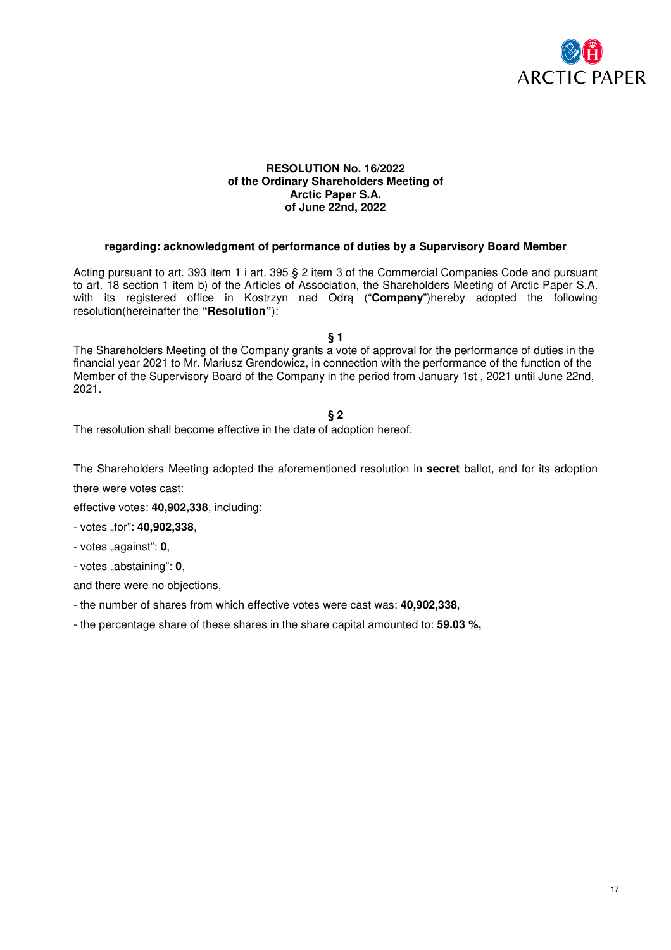

#### **RESOLUTION No. 16/2022 of the Ordinary Shareholders Meeting of Arctic Paper S.A. of June 22nd, 2022**

### **regarding: acknowledgment of performance of duties by a Supervisory Board Member**

Acting pursuant to art. 393 item 1 i art. 395 § 2 item 3 of the Commercial Companies Code and pursuant to art. 18 section 1 item b) of the Articles of Association, the Shareholders Meeting of Arctic Paper S.A. with its registered office in Kostrzyn nad Odrą ("**Company**")hereby adopted the following resolution(hereinafter the **"Resolution"**):

**§ 1** 

The Shareholders Meeting of the Company grants a vote of approval for the performance of duties in the financial year 2021 to Mr. Mariusz Grendowicz, in connection with the performance of the function of the Member of the Supervisory Board of the Company in the period from January 1st , 2021 until June 22nd, 2021.

### **§ 2**

The resolution shall become effective in the date of adoption hereof.

The Shareholders Meeting adopted the aforementioned resolution in **secret** ballot, and for its adoption there were votes cast:

effective votes: **40,902,338**, including:

- votes "for": **40,902,338**,

- votes "against": **0**,

- votes "abstaining": **0**,

and there were no objections,

- the number of shares from which effective votes were cast was: **40,902,338**,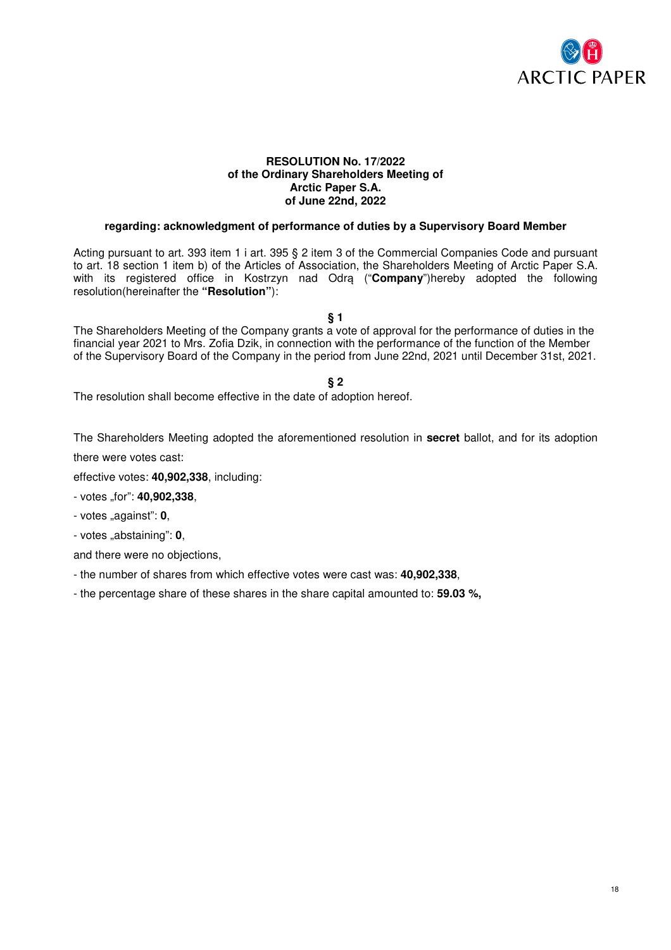

### **RESOLUTION No. 17/2022 of the Ordinary Shareholders Meeting of Arctic Paper S.A. of June 22nd, 2022**

### **regarding: acknowledgment of performance of duties by a Supervisory Board Member**

Acting pursuant to art. 393 item 1 i art. 395 § 2 item 3 of the Commercial Companies Code and pursuant to art. 18 section 1 item b) of the Articles of Association, the Shareholders Meeting of Arctic Paper S.A. with its registered office in Kostrzyn nad Odrą ("**Company**")hereby adopted the following resolution(hereinafter the **"Resolution"**):

**§ 1** 

The Shareholders Meeting of the Company grants a vote of approval for the performance of duties in the financial year 2021 to Mrs. Zofia Dzik, in connection with the performance of the function of the Member of the Supervisory Board of the Company in the period from June 22nd, 2021 until December 31st, 2021.

**§ 2** 

The resolution shall become effective in the date of adoption hereof.

The Shareholders Meeting adopted the aforementioned resolution in **secret** ballot, and for its adoption

there were votes cast:

effective votes: **40,902,338**, including:

- votes "for": **40,902,338**,

- votes "against": **0**,

- votes "abstaining": **0**,

and there were no objections,

- the number of shares from which effective votes were cast was: **40,902,338**,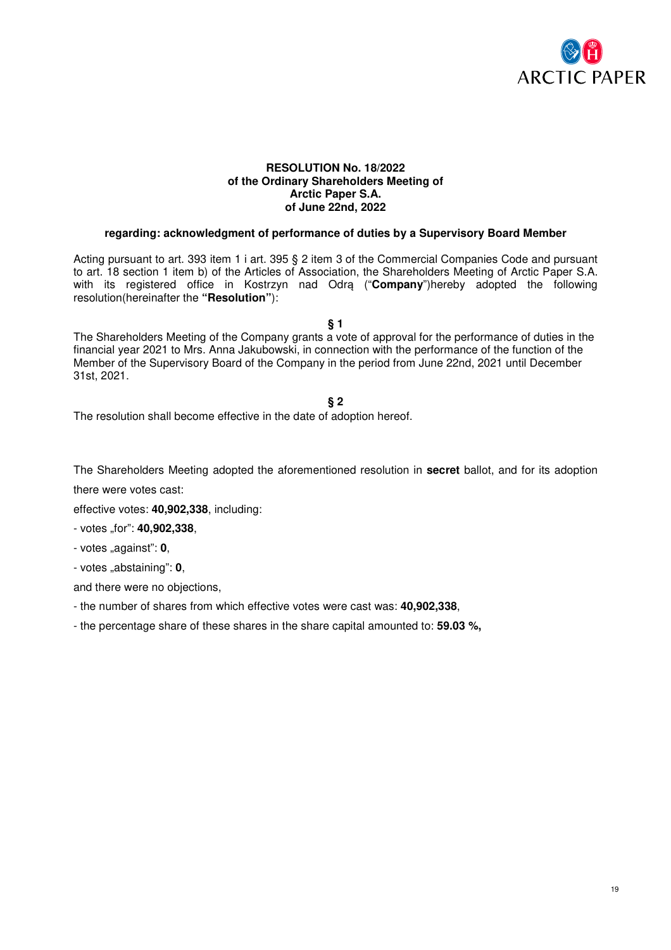

### **RESOLUTION No. 18/2022 of the Ordinary Shareholders Meeting of Arctic Paper S.A. of June 22nd, 2022**

### **regarding: acknowledgment of performance of duties by a Supervisory Board Member**

Acting pursuant to art. 393 item 1 i art. 395 § 2 item 3 of the Commercial Companies Code and pursuant to art. 18 section 1 item b) of the Articles of Association, the Shareholders Meeting of Arctic Paper S.A. with its registered office in Kostrzyn nad Odra ("**Company**")hereby adopted the following resolution(hereinafter the **"Resolution"**):

**§ 1** 

The Shareholders Meeting of the Company grants a vote of approval for the performance of duties in the financial year 2021 to Mrs. Anna Jakubowski, in connection with the performance of the function of the Member of the Supervisory Board of the Company in the period from June 22nd, 2021 until December 31st, 2021.

### **§ 2**

The resolution shall become effective in the date of adoption hereof.

The Shareholders Meeting adopted the aforementioned resolution in **secret** ballot, and for its adoption there were votes cast:

effective votes: **40,902,338**, including:

- votes "for": **40,902,338**,

- votes "against": **0**,

- votes "abstaining": **0**,

and there were no objections,

- the number of shares from which effective votes were cast was: **40,902,338**,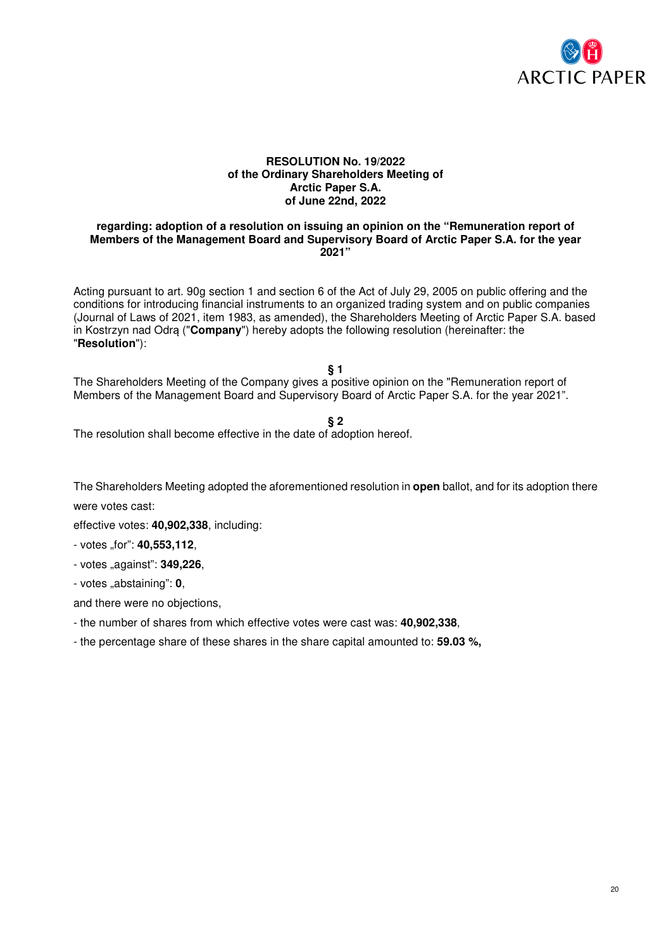

#### **RESOLUTION No. 19/2022 of the Ordinary Shareholders Meeting of Arctic Paper S.A. of June 22nd, 2022**

#### **regarding: adoption of a resolution on issuing an opinion on the "Remuneration report of Members of the Management Board and Supervisory Board of Arctic Paper S.A. for the year 2021"**

Acting pursuant to art. 90g section 1 and section 6 of the Act of July 29, 2005 on public offering and the conditions for introducing financial instruments to an organized trading system and on public companies (Journal of Laws of 2021, item 1983, as amended), the Shareholders Meeting of Arctic Paper S.A. based in Kostrzyn nad Odrą ("**Company**") hereby adopts the following resolution (hereinafter: the "**Resolution**"):

**§ 1** 

The Shareholders Meeting of the Company gives a positive opinion on the "Remuneration report of Members of the Management Board and Supervisory Board of Arctic Paper S.A. for the year 2021".

#### **§ 2**

The resolution shall become effective in the date of adoption hereof.

The Shareholders Meeting adopted the aforementioned resolution in **open** ballot, and for its adoption there

were votes cast:

effective votes: **40,902,338**, including:

- votes "for": **40,553,112**,

- votes "against": **349,226**,

- votes "abstaining": **0**,

and there were no objections,

- the number of shares from which effective votes were cast was: **40,902,338**,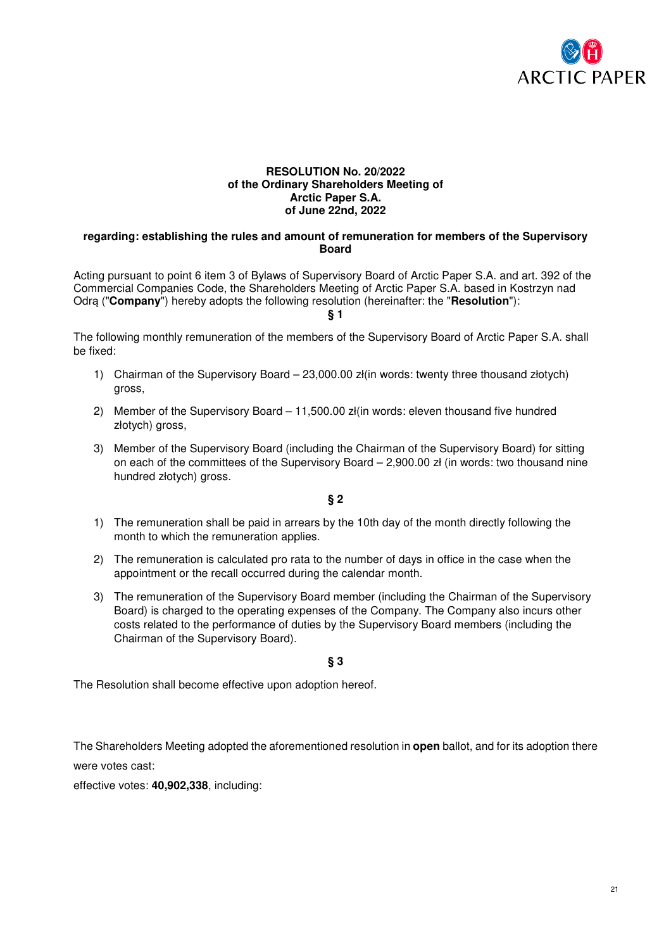

### **RESOLUTION No. 20/2022 of the Ordinary Shareholders Meeting of Arctic Paper S.A. of June 22nd, 2022**

#### **regarding: establishing the rules and amount of remuneration for members of the Supervisory Board**

Acting pursuant to point 6 item 3 of Bylaws of Supervisory Board of Arctic Paper S.A. and art. 392 of the Commercial Companies Code, the Shareholders Meeting of Arctic Paper S.A. based in Kostrzyn nad Odrą ("**Company**") hereby adopts the following resolution (hereinafter: the "**Resolution**"):

#### **§ 1**

The following monthly remuneration of the members of the Supervisory Board of Arctic Paper S.A. shall be fixed:

- 1) Chairman of the Supervisory Board 23,000.00 zł(in words: twenty three thousand złotych) gross,
- 2) Member of the Supervisory Board 11,500.00 zł(in words: eleven thousand five hundred złotych) gross,
- 3) Member of the Supervisory Board (including the Chairman of the Supervisory Board) for sitting on each of the committees of the Supervisory Board – 2,900.00 zł (in words: two thousand nine hundred złotych) gross.

**§ 2** 

- 1) The remuneration shall be paid in arrears by the 10th day of the month directly following the month to which the remuneration applies.
- 2) The remuneration is calculated pro rata to the number of days in office in the case when the appointment or the recall occurred during the calendar month.
- 3) The remuneration of the Supervisory Board member (including the Chairman of the Supervisory Board) is charged to the operating expenses of the Company. The Company also incurs other costs related to the performance of duties by the Supervisory Board members (including the Chairman of the Supervisory Board).

**§ 3** 

The Resolution shall become effective upon adoption hereof.

The Shareholders Meeting adopted the aforementioned resolution in **open** ballot, and for its adoption there were votes cast:

effective votes: **40,902,338**, including: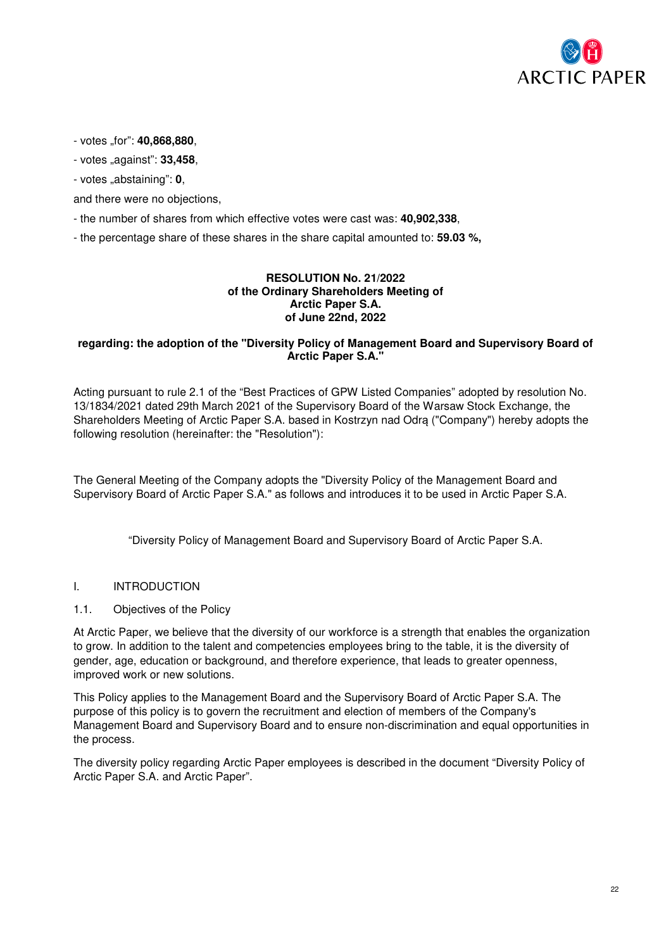

- votes "for": **40,868,880**,

- votes "against": **33,458**,

- votes "abstaining": **0**,

and there were no objections,

- the number of shares from which effective votes were cast was: **40,902,338**,

- the percentage share of these shares in the share capital amounted to: **59.03 %,** 

### **RESOLUTION No. 21/2022 of the Ordinary Shareholders Meeting of Arctic Paper S.A. of June 22nd, 2022**

### **regarding: the adoption of the "Diversity Policy of Management Board and Supervisory Board of Arctic Paper S.A."**

Acting pursuant to rule 2.1 of the "Best Practices of GPW Listed Companies" adopted by resolution No. 13/1834/2021 dated 29th March 2021 of the Supervisory Board of the Warsaw Stock Exchange, the Shareholders Meeting of Arctic Paper S.A. based in Kostrzyn nad Odrą ("Company") hereby adopts the following resolution (hereinafter: the "Resolution"):

The General Meeting of the Company adopts the "Diversity Policy of the Management Board and Supervisory Board of Arctic Paper S.A." as follows and introduces it to be used in Arctic Paper S.A.

"Diversity Policy of Management Board and Supervisory Board of Arctic Paper S.A.

### I. INTRODUCTION

#### 1.1. Objectives of the Policy

At Arctic Paper, we believe that the diversity of our workforce is a strength that enables the organization to grow. In addition to the talent and competencies employees bring to the table, it is the diversity of gender, age, education or background, and therefore experience, that leads to greater openness, improved work or new solutions.

This Policy applies to the Management Board and the Supervisory Board of Arctic Paper S.A. The purpose of this policy is to govern the recruitment and election of members of the Company's Management Board and Supervisory Board and to ensure non-discrimination and equal opportunities in the process.

The diversity policy regarding Arctic Paper employees is described in the document "Diversity Policy of Arctic Paper S.A. and Arctic Paper".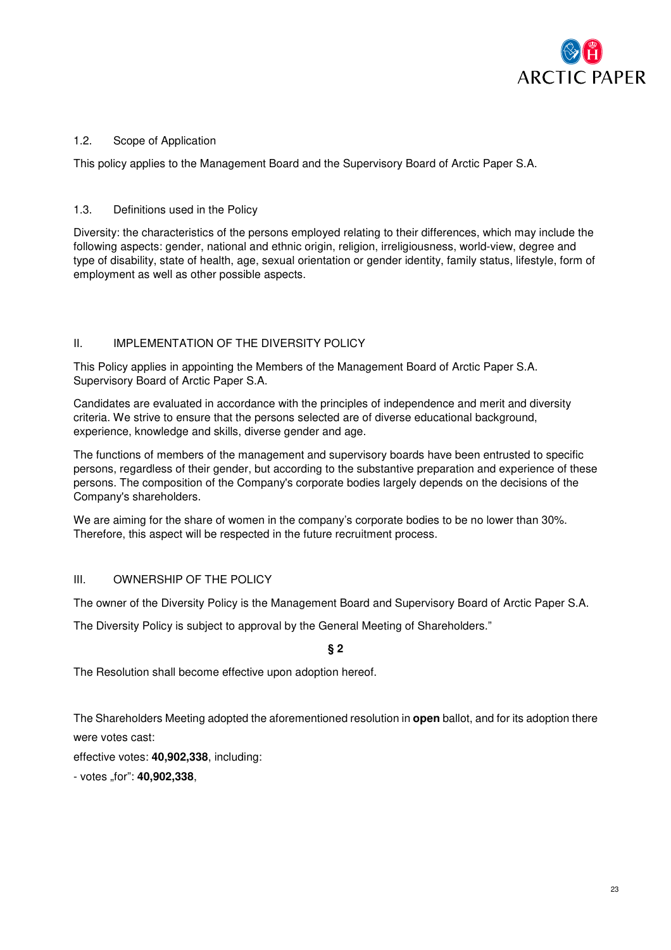

# 1.2. Scope of Application

This policy applies to the Management Board and the Supervisory Board of Arctic Paper S.A.

# 1.3. Definitions used in the Policy

Diversity: the characteristics of the persons employed relating to their differences, which may include the following aspects: gender, national and ethnic origin, religion, irreligiousness, world-view, degree and type of disability, state of health, age, sexual orientation or gender identity, family status, lifestyle, form of employment as well as other possible aspects.

# II. **IMPLEMENTATION OF THE DIVERSITY POLICY**

This Policy applies in appointing the Members of the Management Board of Arctic Paper S.A. Supervisory Board of Arctic Paper S.A.

Candidates are evaluated in accordance with the principles of independence and merit and diversity criteria. We strive to ensure that the persons selected are of diverse educational background, experience, knowledge and skills, diverse gender and age.

The functions of members of the management and supervisory boards have been entrusted to specific persons, regardless of their gender, but according to the substantive preparation and experience of these persons. The composition of the Company's corporate bodies largely depends on the decisions of the Company's shareholders.

We are aiming for the share of women in the company's corporate bodies to be no lower than 30%. Therefore, this aspect will be respected in the future recruitment process.

### III. OWNERSHIP OF THE POLICY

The owner of the Diversity Policy is the Management Board and Supervisory Board of Arctic Paper S.A.

The Diversity Policy is subject to approval by the General Meeting of Shareholders."

# **§ 2**

The Resolution shall become effective upon adoption hereof.

The Shareholders Meeting adopted the aforementioned resolution in **open** ballot, and for its adoption there were votes cast:

effective votes: **40,902,338**, including:

- votes "for": **40,902,338**,